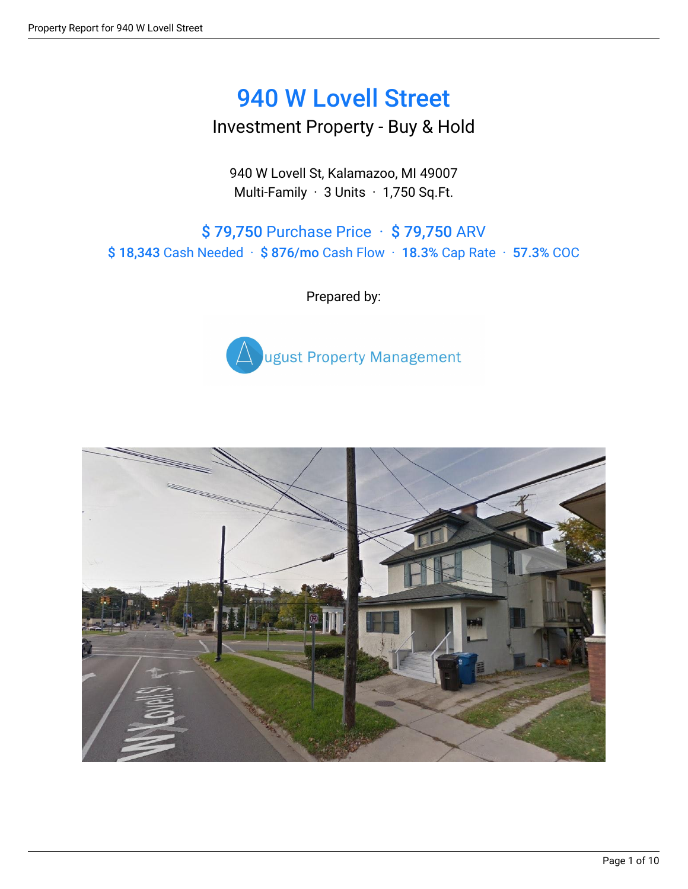# 940 W Lovell Street

Investment Property - Buy & Hold

940 W Lovell St, Kalamazoo, MI 49007 Multi-Family · 3 Units · 1,750 Sq.Ft.

\$ 79,750 Purchase Price · \$ 79,750 ARV \$ 18,343 Cash Needed · \$ 876/mo Cash Flow · 18.3% Cap Rate · 57.3% COC

Prepared by:



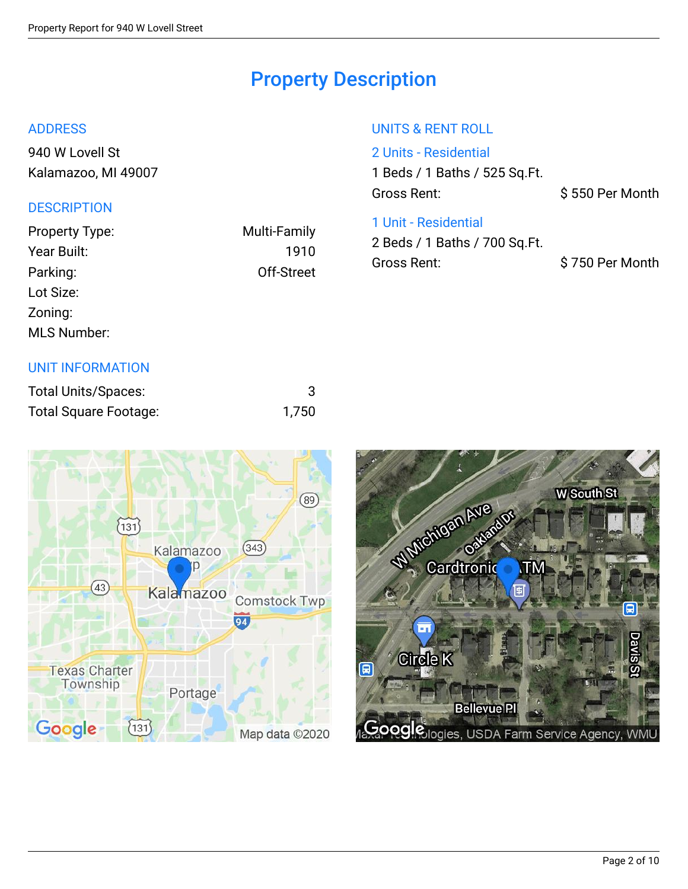## Property Description

#### ADDRESS

[940 W Lovell St](http://maps.google.com/maps?z=15&t=m&q=940%20W%20Lovell%20St%2CKalamazoo%2CMI%2C49007) [Kalamazoo, MI 49007](http://maps.google.com/maps?z=15&t=m&q=940%20W%20Lovell%20St%2CKalamazoo%2CMI%2C49007)

### **DESCRIPTION**

| Property Type:     | <b>Multi-Family</b> |
|--------------------|---------------------|
| Year Built:        | 1910                |
| Parking:           | Off-Street          |
| Lot Size:          |                     |
| Zoning:            |                     |
| <b>MLS Number:</b> |                     |
|                    |                     |

### UNIT INFORMATION

| <b>Total Units/Spaces:</b> |       |
|----------------------------|-------|
| Total Square Footage:      | 1,750 |

### UNITS & RENT ROLL

2 Units - Residential 1 Beds / 1 Baths / 525 Sq.Ft. Gross Rent:  $\begin{array}{c} \text{S } 550 \text{ Per} \text{ Month} \end{array}$ 

### 1 Unit - Residential

2 Beds / 1 Baths / 700 Sq.Ft. Gross Rent:  $\begin{array}{c} \text{S } 750 \text{ Per} \text{ Month} \end{array}$ 



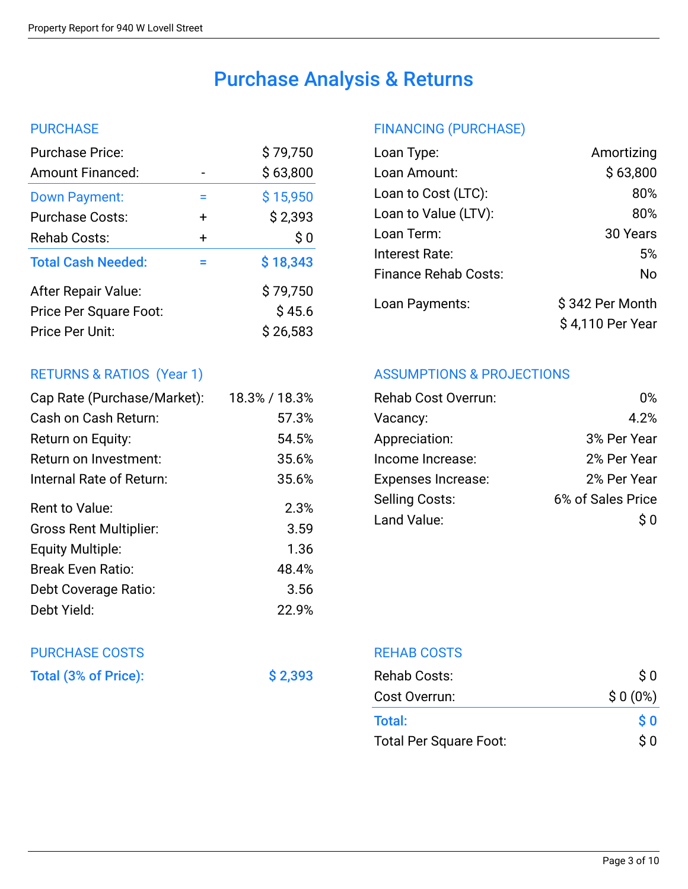## Purchase Analysis & Returns

#### **PURCHASE**

| <b>Purchase Price:</b>    |           | \$79,750 |
|---------------------------|-----------|----------|
| <b>Amount Financed:</b>   |           | \$63,800 |
| <b>Down Payment:</b>      | ⋍         | \$15,950 |
| <b>Purchase Costs:</b>    | $\ddot{}$ | \$2,393  |
| Rehab Costs:              | +         | \$0      |
| <b>Total Cash Needed:</b> | $=$       | \$18,343 |
| After Repair Value:       |           | \$79,750 |
| Price Per Square Foot:    |           | \$45.6   |
| Price Per Unit:           |           | \$26,583 |
|                           |           |          |

### RETURNS & RATIOS (Year 1)

| Cap Rate (Purchase/Market):   | 18.3% / 18.3% |
|-------------------------------|---------------|
| Cash on Cash Return:          | 57.3%         |
| Return on Equity:             | 54.5%         |
| Return on Investment:         | 35.6%         |
| Internal Rate of Return:      | 35.6%         |
| Rent to Value:                | 2.3%          |
| <b>Gross Rent Multiplier:</b> | 3.59          |
| <b>Equity Multiple:</b>       | 1.36          |
| <b>Break Even Ratio:</b>      | 48.4%         |
| Debt Coverage Ratio:          | 3.56          |
| Debt Yield:                   | 22.9%         |

# PURCHASE COSTS

Total (3% of Price):  $\begin{array}{ccc} \text{38} & \text{40} \\ \text{50} & \text{51} \\ \text{61} & \text{62} \\ \text{72} & \text{73} \\ \text{85} & \text{74} \\ \text{86} & \text{75} \\ \text{87} & \text{88} \\ \text{98} & \text{99} \\ \text{108} & \text{118} \\ \text{119} & \text{120} \\ \text{120} & \text{130} \\ \text{130} & \text{140} \\ \text{140} & \text{150} \\ \$ 

### FINANCING (PURCHASE)

| Loan Type:                  | Amortizing                          |
|-----------------------------|-------------------------------------|
| Loan Amount:                | \$63,800                            |
| Loan to Cost (LTC):         | 80%                                 |
| Loan to Value (LTV):        | 80%                                 |
| Loan Term:                  | 30 Years                            |
| Interest Rate:              | 5%                                  |
| <b>Finance Rehab Costs:</b> | No                                  |
| Loan Payments:              | \$342 Per Month<br>\$4,110 Per Year |
|                             |                                     |

### ASSUMPTIONS & PROJECTIONS

| በ%                |
|-------------------|
| 4.2%              |
| 3% Per Year       |
| 2% Per Year       |
| 2% Per Year       |
| 6% of Sales Price |
| S O               |
|                   |

REHAB COSTS

| Rehab Costs:                  | $\mathsf{S}~0$                                   |
|-------------------------------|--------------------------------------------------|
| Cost Overrun:                 | $$0(0\%)$                                        |
| Total:                        | $\boldsymbol{\mathsf{S}}\boldsymbol{\mathsf{0}}$ |
| <b>Total Per Square Foot:</b> | $\mathcal{S}$ $\Omega$                           |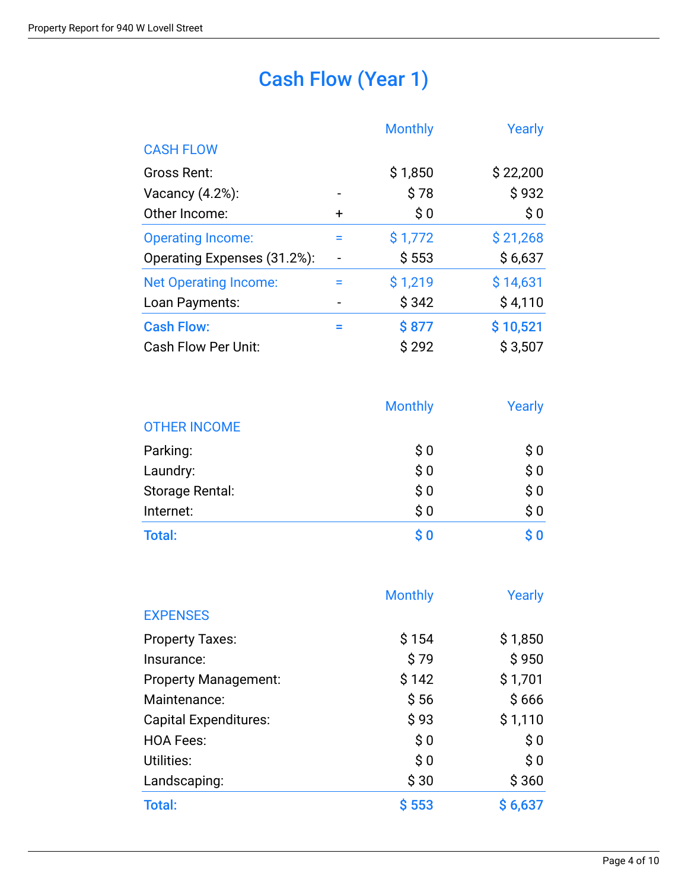## Cash Flow (Year 1)

|                              |           | <b>Monthly</b> | Yearly   |
|------------------------------|-----------|----------------|----------|
| <b>CASH FLOW</b>             |           |                |          |
| Gross Rent:                  |           | \$1,850        | \$22,200 |
| Vacancy $(4.2%)$ :           |           | \$78           | \$932    |
| Other Income:                | $\ddot{}$ | \$0            | \$0      |
| <b>Operating Income:</b>     | Ξ         | \$1,772        | \$21,268 |
| Operating Expenses (31.2%):  |           | \$553          | \$6,637  |
| <b>Net Operating Income:</b> | $=$       | \$1,219        | \$14,631 |
| Loan Payments:               |           | \$342          | \$4,110  |
| <b>Cash Flow:</b>            | ⋍         | \$877          | \$10,521 |
| <b>Cash Flow Per Unit:</b>   |           | \$292          | \$3,507  |

|                     | <b>Monthly</b>                    | Yearly                                             |  |
|---------------------|-----------------------------------|----------------------------------------------------|--|
| <b>OTHER INCOME</b> |                                   |                                                    |  |
| Parking:            | \$0                               | \$0                                                |  |
| Laundry:            | \$0                               | \$0                                                |  |
| Storage Rental:     | \$0                               | \$0                                                |  |
| Internet:           | \$0                               | \$0                                                |  |
| <b>Total:</b>       | $\boldsymbol{\$}\ \boldsymbol{0}$ | $\boldsymbol{\mathsf{S}}\ \boldsymbol{\mathsf{0}}$ |  |

|                              | <b>Monthly</b> | Yearly                      |
|------------------------------|----------------|-----------------------------|
| <b>EXPENSES</b>              |                |                             |
| <b>Property Taxes:</b>       | \$154          | \$1,850                     |
| Insurance:                   | \$79           | \$950                       |
| <b>Property Management:</b>  | \$142          | \$1,701                     |
| Maintenance:                 | \$56           | \$666                       |
| <b>Capital Expenditures:</b> | \$93           | \$1,110                     |
| <b>HOA Fees:</b>             | \$0            | \$0                         |
| Utilities:                   | \$0            | $\boldsymbol{\mathsf{S}}$ 0 |
| Landscaping:                 | \$30           | \$360                       |
| <b>Total:</b>                | \$553          | \$6,637                     |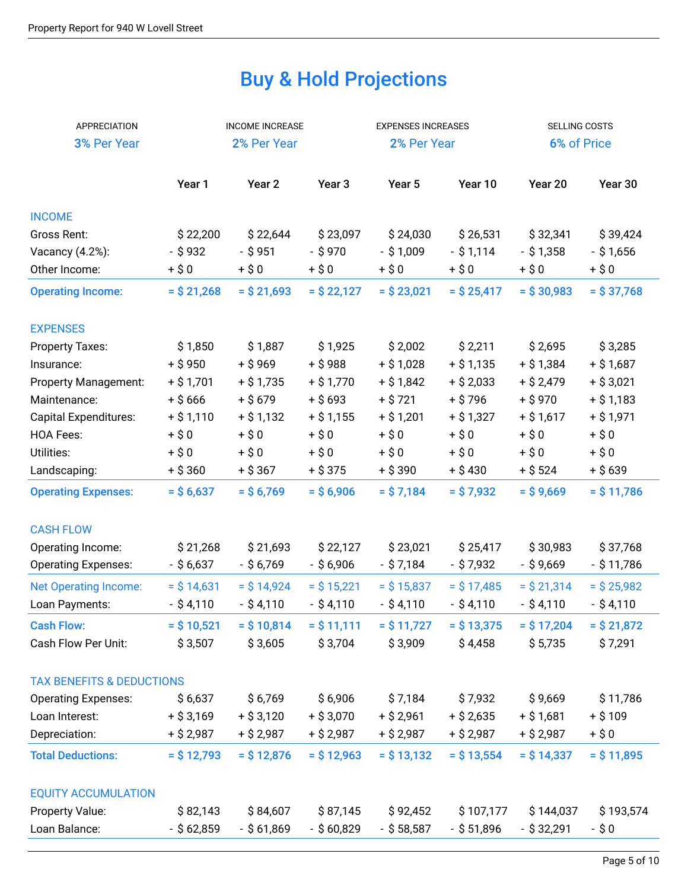## Buy & Hold Projections

| <b>APPRECIATION</b>                  |               | <b>INCOME INCREASE</b> |                   | <b>EXPENSES INCREASES</b> |               | SELLING COSTS |               |
|--------------------------------------|---------------|------------------------|-------------------|---------------------------|---------------|---------------|---------------|
| 3% Per Year                          |               | 2% Per Year            |                   | 2% Per Year               |               | 6% of Price   |               |
|                                      |               |                        |                   |                           |               |               |               |
|                                      | Year 1        | Year <sub>2</sub>      | Year <sub>3</sub> | Year 5                    | Year 10       | Year 20       | Year 30       |
| <b>INCOME</b>                        |               |                        |                   |                           |               |               |               |
| Gross Rent:                          | \$22,200      | \$22,644               | \$23,097          | \$24,030                  | \$26,531      | \$32,341      | \$39,424      |
| Vacancy (4.2%):                      | $-$ \$932     | $-$ \$951              | $-$ \$970         | $-$ \$ 1,009              | $-$ \$ 1,114  | $-$ \$ 1,358  | $-$ \$ 1,656  |
| Other Income:                        | $+ $0$        | $+ $0$                 | $+$ \$0           | $+ $0$                    | $+$ \$0       | $+$ \$0       | $+$ \$0       |
| <b>Operating Income:</b>             | $=$ \$ 21,268 | $=$ \$ 21,693          | $=$ \$ 22,127     | $=$ \$ 23,021             | $=$ \$ 25,417 | $=$ \$ 30,983 | $=$ \$37,768  |
| <b>EXPENSES</b>                      |               |                        |                   |                           |               |               |               |
| <b>Property Taxes:</b>               | \$1,850       | \$1,887                | \$1,925           | \$2,002                   | \$2,211       | \$2,695       | \$3,285       |
| Insurance:                           | $+$ \$950     | $+ $969$               | $+ $988$          | $+ $1,028$                | $+ $1,135$    | $+ $1,384$    | $+ $1,687$    |
| Property Management:                 | $+ $1,701$    | $+ $1,735$             | $+ $1,770$        | $+ $1,842$                | $+ $2,033$    | $+ $2,479$    | $+$ \$ 3,021  |
| Maintenance:                         | $+ $666$      | $+$ \$679              | $+$ \$ 693        | $+$ \$ 721                | $+ $796$      | $+$ \$970     | $+ $1,183$    |
| <b>Capital Expenditures:</b>         | $+ $1,110$    | $+ $1,132$             | $+$ \$ 1,155      | $+ $1,201$                | $+$ \$ 1,327  | $+$ \$ 1,617  | $+$ \$ 1,971  |
| <b>HOA Fees:</b>                     | $+$ \$0       | $+$ \$0                | $+$ \$0           | $+ $0$                    | $+ $0$        | $+ $0$        | $+$ \$0       |
| Utilities:                           | $+$ \$0       | $+$ \$0                | $+$ \$0           | $+ $0$                    | $+ $0$        | $+$ \$0       | $+$ \$0       |
| Landscaping:                         | $+$ \$ 360    | $+$ \$ 367             | $+$ \$ 375        | $+$ \$ 390                | $+ $430$      | $+$ \$ 524    | $+$ \$ 639    |
| <b>Operating Expenses:</b>           | $=$ \$ 6,637  | $=$ \$ 6,769           | $=$ \$6,906       | $=$ \$7,184               | $=$ \$7,932   | $=$ \$9,669   | $=$ \$ 11,786 |
| <b>CASH FLOW</b>                     |               |                        |                   |                           |               |               |               |
| Operating Income:                    | \$21,268      | \$21,693               | \$22,127          | \$23,021                  | \$25,417      | \$30,983      | \$37,768      |
| <b>Operating Expenses:</b>           | $-$ \$ 6,637  | $-$ \$ 6,769           | $-$ \$ 6,906      | $-$ \$ 7,184              | $-$ \$ 7,932  | $-$ \$9,669   | $-$ \$ 11,786 |
| <b>Net Operating Income:</b>         | $=$ \$ 14,631 | $=$ \$ 14,924          | $=$ \$ 15,221     | $=$ \$15,837              | $=$ \$ 17,485 | $=$ \$ 21,314 | $=$ \$ 25,982 |
| Loan Payments:                       | $-$ \$4,110   | $-$ \$4,110            | $-$ \$4,110       | $-$ \$4,110               | $-$ \$4,110   | $-$ \$4,110   | $-$ \$4,110   |
| <b>Cash Flow:</b>                    | $=$ \$ 10,521 | $=$ \$ 10,814          | $=$ \$ 11,111     | $=$ \$ 11,727             | $=$ \$ 13,375 | $=$ \$ 17,204 | $=$ \$ 21,872 |
| Cash Flow Per Unit:                  | \$3,507       | \$3,605                | \$3,704           | \$3,909                   | \$4,458       | \$5,735       | \$7,291       |
|                                      |               |                        |                   |                           |               |               |               |
| <b>TAX BENEFITS &amp; DEDUCTIONS</b> |               |                        |                   |                           |               |               |               |
| <b>Operating Expenses:</b>           | \$6,637       | \$6,769                | \$6,906           | \$7,184                   | \$7,932       | \$9,669       | \$11,786      |
| Loan Interest:                       | $+$ \$ 3,169  | $+$ \$ 3,120           | $+$ \$ 3,070      | $+$ \$ 2,961              | $+$ \$ 2,635  | $+$ \$ 1,681  | $+ $109$      |
| Depreciation:                        | $+$ \$ 2,987  | $+$ \$ 2,987           | $+$ \$ 2,987      | $+$ \$ 2,987              | $+$ \$ 2,987  | $+$ \$ 2,987  | $+$ \$0       |
| <b>Total Deductions:</b>             | $=$ \$ 12,793 | $=$ \$ 12,876          | $=$ \$12,963      | $=$ \$ 13,132             | $=$ \$ 13,554 | $=$ \$ 14,337 | $=$ \$ 11,895 |
| <b>EQUITY ACCUMULATION</b>           |               |                        |                   |                           |               |               |               |
| Property Value:                      | \$82,143      | \$84,607               | \$87,145          | \$92,452                  | \$107,177     | \$144,037     | \$193,574     |
| Loan Balance:                        | $-$ \$ 62,859 | $-$ \$ 61,869          | $-$ \$ 60,829     | $-$ \$ 58,587             | $-$ \$ 51,896 | $-$ \$ 32,291 | -\$0          |
|                                      |               |                        |                   |                           |               |               |               |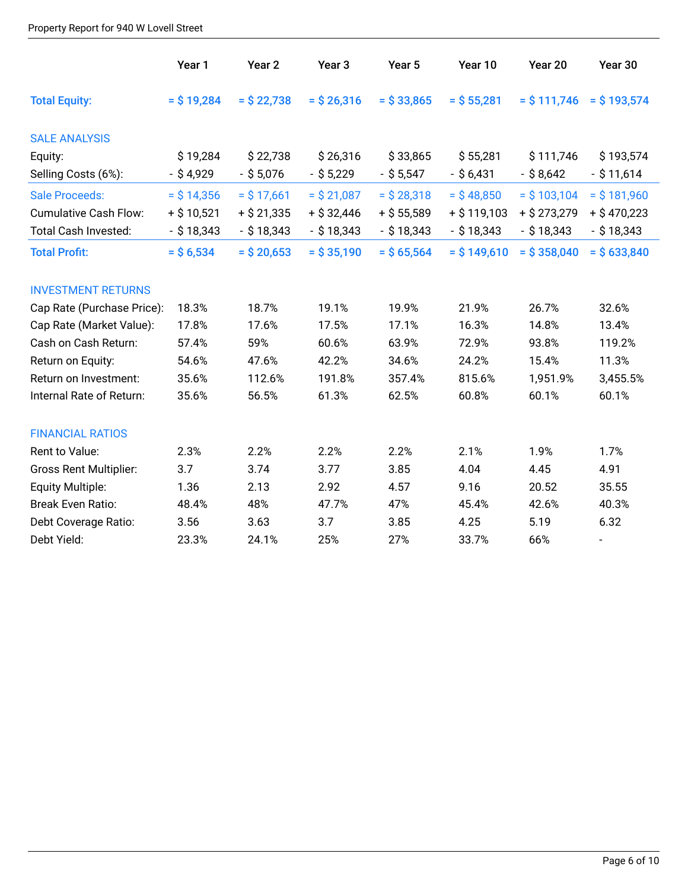#### Property Report for 940 W Lovell Street

|                               | Year 1        | Year <sub>2</sub> | Year <sub>3</sub> | Year 5        | Year 10       | Year 20        | Year 30                  |
|-------------------------------|---------------|-------------------|-------------------|---------------|---------------|----------------|--------------------------|
| <b>Total Equity:</b>          | $=$ \$19,284  | $=$ \$ 22,738     | $=$ \$ 26,316     | $=$ \$ 33,865 | $=$ \$ 55,281 | $=$ \$ 111,746 | $=$ \$193,574            |
| <b>SALE ANALYSIS</b>          |               |                   |                   |               |               |                |                          |
| Equity:                       | \$19,284      | \$22,738          | \$26,316          | \$33,865      | \$55,281      | \$111,746      | \$193,574                |
| Selling Costs (6%):           | $-$ \$ 4,929  | $-$ \$ 5,076      | $-$ \$ 5,229      | $-$ \$ 5,547  | $-$ \$ 6,431  | $-$ \$ 8,642   | $-$ \$ 11,614            |
| <b>Sale Proceeds:</b>         | $=$ \$ 14,356 | $=$ \$ 17,661     | $=$ \$ 21,087     | $=$ \$ 28,318 | $=$ \$48,850  | $=$ \$ 103,104 | $=$ \$181,960            |
| <b>Cumulative Cash Flow:</b>  | $+$ \$ 10,521 | $+$ \$ 21,335     | $+$ \$ 32,446     | $+$ \$ 55,589 | $+ $119,103$  | $+$ \$ 273,279 | $+$ \$470,223            |
| <b>Total Cash Invested:</b>   | $-$ \$ 18,343 | $-$ \$ 18,343     | $-$ \$ 18,343     | $-$ \$ 18,343 | $-$ \$ 18,343 | $-$ \$ 18,343  | $-$ \$ 18,343            |
| <b>Total Profit:</b>          | $=$ \$ 6,534  | $=$ \$ 20,653     | $=$ \$ 35,190     | $=$ \$ 65,564 | $=$ \$149,610 | $=$ \$ 358,040 | $=$ \$ 633,840           |
| <b>INVESTMENT RETURNS</b>     |               |                   |                   |               |               |                |                          |
| Cap Rate (Purchase Price):    | 18.3%         | 18.7%             | 19.1%             | 19.9%         | 21.9%         | 26.7%          | 32.6%                    |
| Cap Rate (Market Value):      | 17.8%         | 17.6%             | 17.5%             | 17.1%         | 16.3%         | 14.8%          | 13.4%                    |
| Cash on Cash Return:          | 57.4%         | 59%               | 60.6%             | 63.9%         | 72.9%         | 93.8%          | 119.2%                   |
| Return on Equity:             | 54.6%         | 47.6%             | 42.2%             | 34.6%         | 24.2%         | 15.4%          | 11.3%                    |
| Return on Investment:         | 35.6%         | 112.6%            | 191.8%            | 357.4%        | 815.6%        | 1,951.9%       | 3,455.5%                 |
| Internal Rate of Return:      | 35.6%         | 56.5%             | 61.3%             | 62.5%         | 60.8%         | 60.1%          | 60.1%                    |
| <b>FINANCIAL RATIOS</b>       |               |                   |                   |               |               |                |                          |
| Rent to Value:                | 2.3%          | 2.2%              | 2.2%              | 2.2%          | 2.1%          | 1.9%           | 1.7%                     |
| <b>Gross Rent Multiplier:</b> | 3.7           | 3.74              | 3.77              | 3.85          | 4.04          | 4.45           | 4.91                     |
| Equity Multiple:              | 1.36          | 2.13              | 2.92              | 4.57          | 9.16          | 20.52          | 35.55                    |
| <b>Break Even Ratio:</b>      | 48.4%         | 48%               | 47.7%             | 47%           | 45.4%         | 42.6%          | 40.3%                    |
| Debt Coverage Ratio:          | 3.56          | 3.63              | 3.7               | 3.85          | 4.25          | 5.19           | 6.32                     |
| Debt Yield:                   | 23.3%         | 24.1%             | 25%               | 27%           | 33.7%         | 66%            | $\overline{\phantom{a}}$ |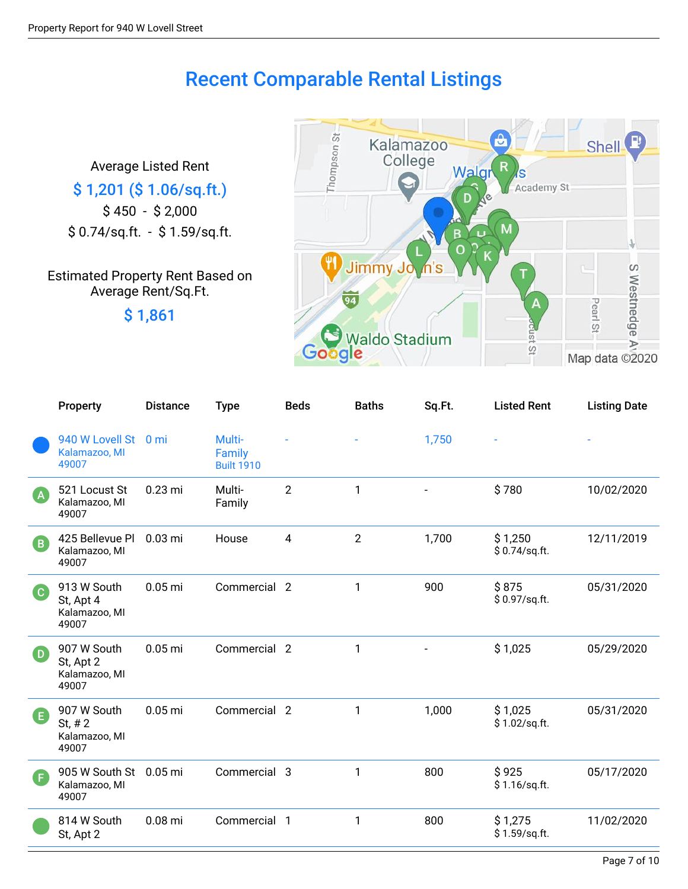### Recent Comparable Rental Listings

Average Listed Rent \$ 1,201 (\$ 1.06/sq.ft.) \$ 450 - \$ 2,000 \$ 0.74/sq.ft. - \$ 1.59/sq.ft.

Estimated Property Rent Based on Average Rent/Sq.Ft.

\$ 1,861



|                            | Property                                           | <b>Distance</b> | <b>Type</b>                           | <b>Beds</b>    | <b>Baths</b>   | Sq.Ft. | <b>Listed Rent</b>       | <b>Listing Date</b> |
|----------------------------|----------------------------------------------------|-----------------|---------------------------------------|----------------|----------------|--------|--------------------------|---------------------|
|                            | 940 W Lovell St<br>Kalamazoo, MI<br>49007          | 0 <sub>mi</sub> | Multi-<br>Family<br><b>Built 1910</b> |                |                | 1,750  |                          |                     |
| $\overline{A}$             | 521 Locust St<br>Kalamazoo, MI<br>49007            | $0.23$ mi       | Multi-<br>Family                      | $\overline{2}$ | $\mathbf{1}$   |        | \$780                    | 10/02/2020          |
| $\left( \mathbf{B}\right)$ | 425 Bellevue Pl<br>Kalamazoo, MI<br>49007          | $0.03$ mi       | House                                 | $\overline{4}$ | $\overline{2}$ | 1,700  | \$1,250<br>\$0.74/sq.ft. | 12/11/2019          |
| C)                         | 913 W South<br>St, Apt 4<br>Kalamazoo, MI<br>49007 | $0.05$ mi       | Commercial 2                          |                | 1              | 900    | \$875<br>\$0.97/sq.ft.   | 05/31/2020          |
| $\left( \mathbf{D}\right)$ | 907 W South<br>St, Apt 2<br>Kalamazoo, MI<br>49007 | $0.05$ mi       | Commercial 2                          |                | 1              |        | \$1,025                  | 05/29/2020          |
| G                          | 907 W South<br>St, $# 2$<br>Kalamazoo, MI<br>49007 | $0.05$ mi       | Commercial 2                          |                | 1              | 1,000  | \$1,025<br>\$1.02/sq.ft. | 05/31/2020          |
| Œ                          | 905 W South St<br>Kalamazoo, MI<br>49007           | $0.05$ mi       | Commercial 3                          |                | 1              | 800    | \$925<br>\$1.16/sq.ft.   | 05/17/2020          |
|                            | 814 W South<br>St, Apt 2                           | $0.08$ mi       | Commercial 1                          |                | $\mathbf{1}$   | 800    | \$1,275<br>\$1.59/sq.ft. | 11/02/2020          |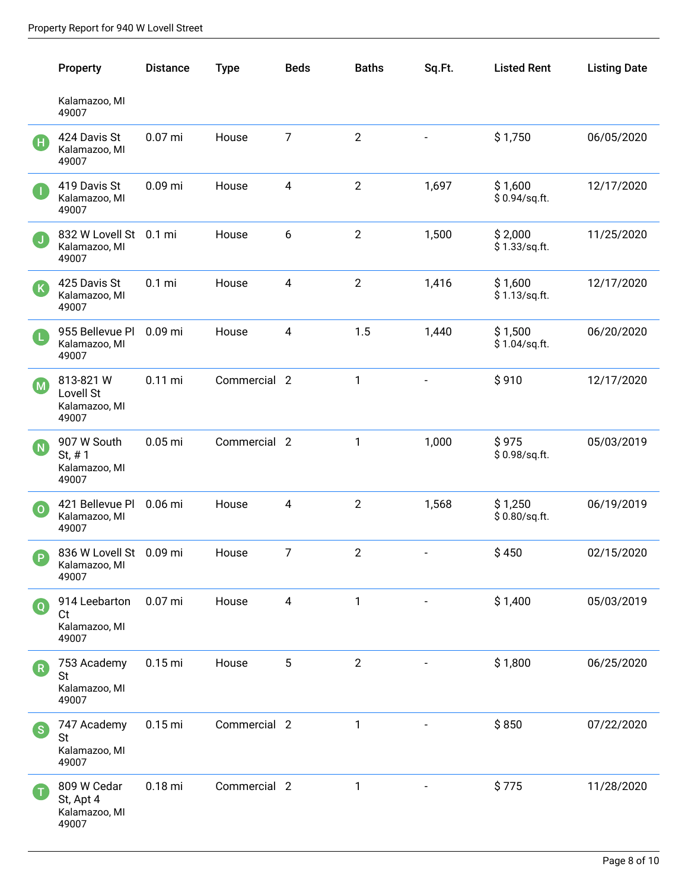|                                  | Property                                           | <b>Distance</b> | <b>Type</b>  | <b>Beds</b>    | <b>Baths</b>   | Sq.Ft.                   | <b>Listed Rent</b>       | <b>Listing Date</b> |
|----------------------------------|----------------------------------------------------|-----------------|--------------|----------------|----------------|--------------------------|--------------------------|---------------------|
|                                  | Kalamazoo, MI<br>49007                             |                 |              |                |                |                          |                          |                     |
| Œ                                | 424 Davis St<br>Kalamazoo, MI<br>49007             | $0.07$ mi       | House        | $\overline{7}$ | $\overline{2}$ |                          | \$1,750                  | 06/05/2020          |
| П                                | 419 Davis St<br>Kalamazoo, MI<br>49007             | $0.09$ mi       | House        | 4              | $\mathbf{2}$   | 1,697                    | \$1,600<br>\$0.94/sq.ft. | 12/17/2020          |
| $\mathsf{U}$                     | 832 W Lovell St 0.1 mi<br>Kalamazoo, MI<br>49007   |                 | House        | 6              | $\overline{2}$ | 1,500                    | \$2,000<br>\$1.33/sq.ft. | 11/25/2020          |
| (K                               | 425 Davis St<br>Kalamazoo, MI<br>49007             | $0.1$ mi        | House        | 4              | $\overline{2}$ | 1,416                    | \$1,600<br>\$1.13/sq.ft. | 12/17/2020          |
| Œ                                | 955 Bellevue Pl<br>Kalamazoo, MI<br>49007          | $0.09$ mi       | House        | 4              | 1.5            | 1,440                    | \$1,500<br>\$1.04/sq.ft. | 06/20/2020          |
| (M)                              | 813-821 W<br>Lovell St<br>Kalamazoo, MI<br>49007   | $0.11$ mi       | Commercial 2 |                | 1              |                          | \$910                    | 12/17/2020          |
| (N)                              | 907 W South<br>St, $# 1$<br>Kalamazoo, MI<br>49007 | $0.05$ mi       | Commercial 2 |                | 1              | 1,000                    | \$975<br>\$0.98/sq.ft.   | 05/03/2019          |
| $\overline{\mathbf{o}}$          | 421 Bellevue Pl<br>Kalamazoo, MI<br>49007          | 0.06 mi         | House        | 4              | $\overline{2}$ | 1,568                    | \$1,250<br>\$0.80/sq.ft. | 06/19/2019          |
| D.                               | 836 W Lovell St 0.09 mi<br>Kalamazoo, MI<br>49007  |                 | House        | 7              | $\overline{2}$ |                          | \$450                    | 02/15/2020          |
| $\left( \, {\mathsf{Q}} \right)$ | 914 Leebarton<br>Ct<br>Kalamazoo, MI<br>49007      | $0.07$ mi       | House        | 4              | 1              |                          | \$1,400                  | 05/03/2019          |
| (R)                              | 753 Academy<br><b>St</b><br>Kalamazoo, MI<br>49007 | $0.15$ mi       | House        | 5              | $\overline{2}$ |                          | \$1,800                  | 06/25/2020          |
| (S)                              | 747 Academy<br><b>St</b><br>Kalamazoo, MI<br>49007 | $0.15$ mi       | Commercial 2 |                | 1              | $\overline{\phantom{a}}$ | \$850                    | 07/22/2020          |
|                                  | 809 W Cedar<br>St, Apt 4<br>Kalamazoo, MI<br>49007 | $0.18$ mi       | Commercial 2 |                | 1              |                          | \$775                    | 11/28/2020          |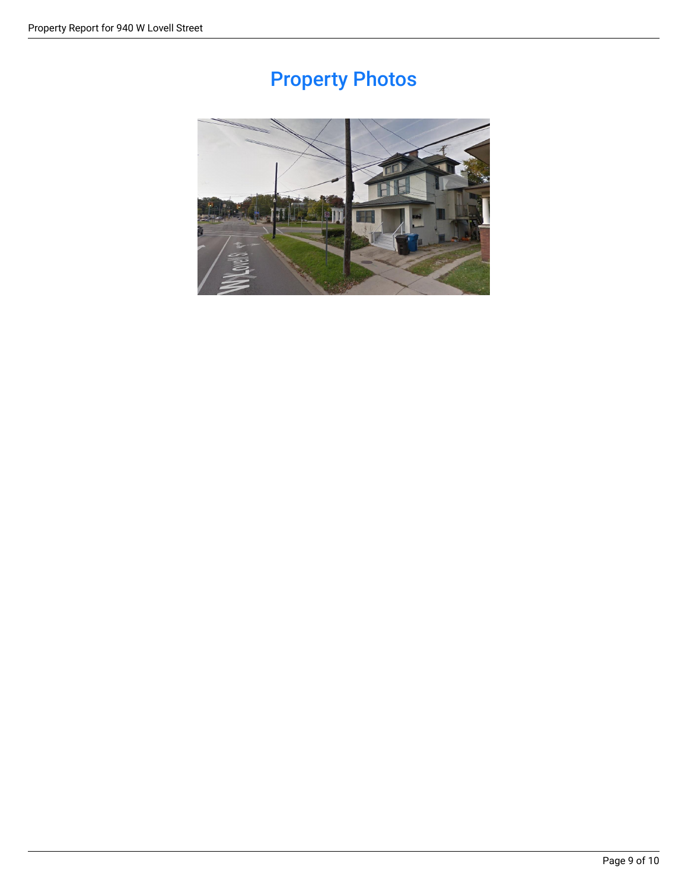## Property Photos